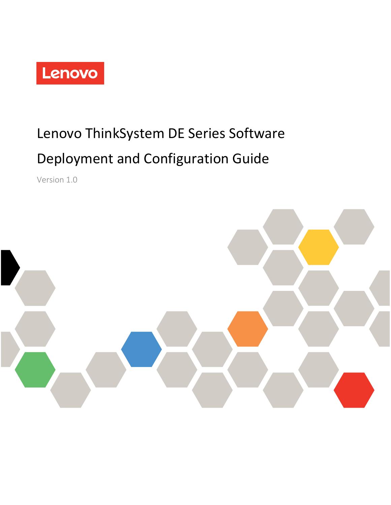

# Lenovo ThinkSystem DE Series Software Deployment and Configuration Guide

Version 1.0

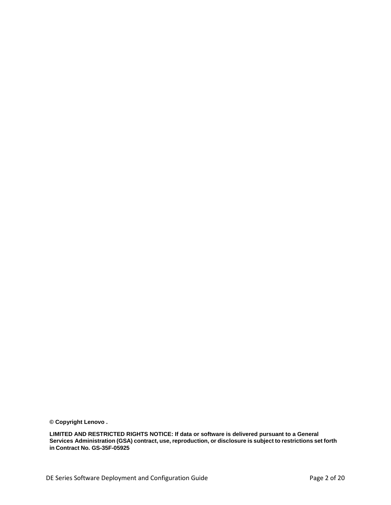**© Copyright Lenovo .**

**LIMITED AND RESTRICTED RIGHTS NOTICE: If data or software is delivered pursuant to a General Services Administration (GSA) contract, use, reproduction, or disclosure is subject to restrictions set forth in Contract No. GS-35F-05925**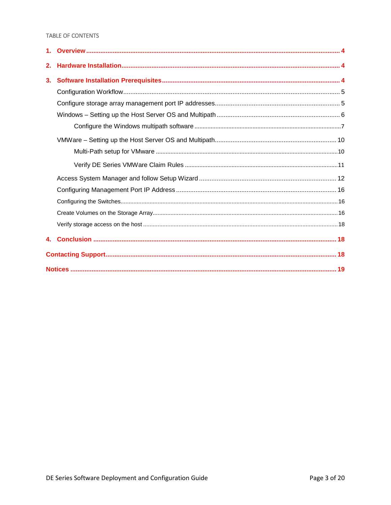## TABLE OF CONTENTS

| 2. |  |
|----|--|
| 3. |  |
|    |  |
|    |  |
|    |  |
|    |  |
|    |  |
|    |  |
|    |  |
|    |  |
|    |  |
|    |  |
|    |  |
|    |  |
|    |  |
|    |  |
|    |  |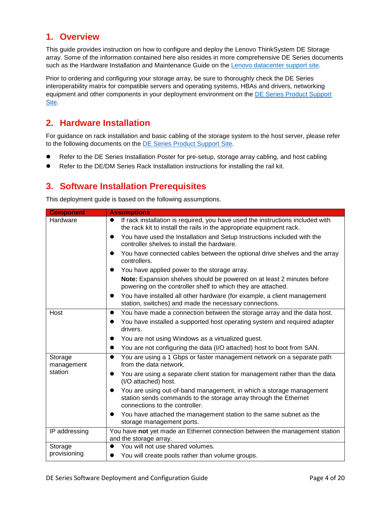## <span id="page-3-0"></span>**1. Overview**

This guide provides instruction on how to configure and deploy the Lenovo ThinkSystem DE Storage array. Some of the information contained here also resides in more comprehensive DE Series documents such as the Hardware Installation and Maintenance Guide on the [Lenovo datacenter support site.](https://datacentersupport.lenovo.com/us/en/products/storage/lenovo-storage/thinksystem-de4000h/documentation/userguide)

Prior to ordering and configuring your storage array, be sure to thoroughly check the DE Series interoperability matrix for compatible servers and operating systems, HBAs and drivers, networking equipment and other components in your deployment environment on the DE Series Product Support [Site.](https://datacentersupport.lenovo.com/us/en/products/storage/lenovo-storage/thinksystem-de4000h/documentation/userguide)

# <span id="page-3-1"></span>**2. Hardware Installation**

For guidance on rack installation and basic cabling of the storage system to the host server, please refer to the following documents on the [DE Series Product Support Site.](https://datacentersupport.lenovo.com/us/en/products/storage/lenovo-storage/thinksystem-de4000h/documentation/userguide)

- Refer to the DE Series Installation Poster for pre-setup, storage array cabling, and host cabling
- <span id="page-3-2"></span>Refer to the DE/DM Series Rack Installation instructions for installing the rail kit.

# **3. Software Installation Prerequisites**

This deployment guide is based on the following assumptions.

| <b>Component</b>      | <b>Assumptions</b>                                                                                                                                                                     |
|-----------------------|----------------------------------------------------------------------------------------------------------------------------------------------------------------------------------------|
| Hardware              | If rack installation is required, you have used the instructions included with<br>$\bullet$<br>the rack kit to install the rails in the appropriate equipment rack.                    |
|                       | You have used the Installation and Setup Instructions included with the<br>$\bullet$<br>controller shelves to install the hardware.                                                    |
|                       | You have connected cables between the optional drive shelves and the array<br>$\bullet$<br>controllers.                                                                                |
|                       | You have applied power to the storage array.<br>$\bullet$                                                                                                                              |
|                       | Note: Expansion shelves should be powered on at least 2 minutes before<br>powering on the controller shelf to which they are attached.                                                 |
|                       | You have installed all other hardware (for example, a client management<br>$\bullet$<br>station, switches) and made the necessary connections.                                         |
| Host                  | You have made a connection between the storage array and the data host.<br>$\bullet$                                                                                                   |
|                       | You have installed a supported host operating system and required adapter<br>$\bullet$<br>drivers.                                                                                     |
|                       | You are not using Windows as a virtualized guest.<br>$\bullet$                                                                                                                         |
|                       | You are not configuring the data (I/O attached) host to boot from SAN.<br>$\bullet$                                                                                                    |
| Storage<br>management | You are using a 1 Gbps or faster management network on a separate path<br>$\bullet$<br>from the data network.                                                                          |
| station               | You are using a separate client station for management rather than the data<br>(I/O attached) host.                                                                                    |
|                       | You are using out-of-band management, in which a storage management<br>$\bullet$<br>station sends commands to the storage array through the Ethernet<br>connections to the controller. |
|                       | You have attached the management station to the same subnet as the<br>$\bullet$<br>storage management ports.                                                                           |
| IP addressing         | You have not yet made an Ethernet connection between the management station<br>and the storage array.                                                                                  |
| Storage               | You will not use shared volumes.                                                                                                                                                       |
| provisioning          | You will create pools rather than volume groups.                                                                                                                                       |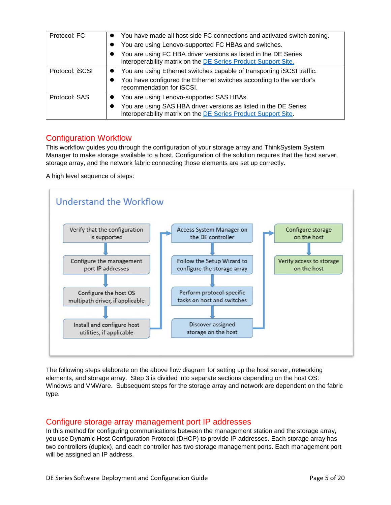| Protocol: FC    | • You have made all host-side FC connections and activated switch zoning.                                                          |
|-----------------|------------------------------------------------------------------------------------------------------------------------------------|
|                 | You are using Lenovo-supported FC HBAs and switches.                                                                               |
|                 | You are using FC HBA driver versions as listed in the DE Series<br>interoperability matrix on the DE Series Product Support Site.  |
| Protocol: iSCSI | You are using Ethernet switches capable of transporting iSCSI traffic.                                                             |
|                 | You have configured the Ethernet switches according to the vendor's<br>recommendation for iSCSI.                                   |
| Protocol: SAS   | You are using Lenovo-supported SAS HBAs.                                                                                           |
|                 | You are using SAS HBA driver versions as listed in the DE Series<br>interoperability matrix on the DE Series Product Support Site. |

## <span id="page-4-0"></span>Configuration Workflow

This workflow guides you through the configuration of your storage array and ThinkSystem System Manager to make storage available to a host. Configuration of the solution requires that the host server, storage array, and the network fabric connecting those elements are set up correctly.

A high level sequence of steps:



The following steps elaborate on the above flow diagram for setting up the host server, networking elements, and storage array. Step 3 is divided into separate sections depending on the host OS: Windows and VMWare. Subsequent steps for the storage array and network are dependent on the fabric type.

## <span id="page-4-1"></span>Configure storage array management port IP addresses

In this method for configuring communications between the management station and the storage array, you use Dynamic Host Configuration Protocol (DHCP) to provide IP addresses. Each storage array has two controllers (duplex), and each controller has two storage management ports. Each management port will be assigned an IP address.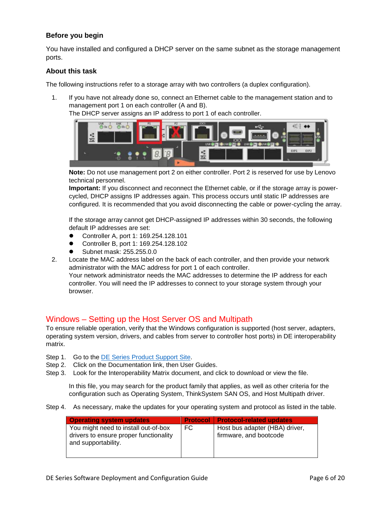## **Before you begin**

You have installed and configured a DHCP server on the same subnet as the storage management ports.

## **About this task**

The following instructions refer to a storage array with two controllers (a duplex configuration).

- 1. If you have not already done so, connect an Ethernet cable to the management station and to management port 1 on each controller (A and B).
	- The DHCP server assigns an IP address to port 1 of each controller.



**Note:** Do not use management port 2 on either controller. Port 2 is reserved for use by Lenovo technical personnel.

**Important:** If you disconnect and reconnect the Ethernet cable, or if the storage array is powercycled, DHCP assigns IP addresses again. This process occurs until static IP addresses are configured. It is recommended that you avoid disconnecting the cable or power-cycling the array.

If the storage array cannot get DHCP-assigned IP addresses within 30 seconds, the following default IP addresses are set:

- Controller A, port 1: 169.254.128.101
- Controller B, port 1: 169.254.128.102
- Subnet mask: 255.255.0.0
- 2. Locate the MAC address label on the back of each controller, and then provide your network administrator with the MAC address for port 1 of each controller. Your network administrator needs the MAC addresses to determine the IP address for each controller. You will need the IP addresses to connect to your storage system through your browser.

## <span id="page-5-0"></span>Windows – Setting up the Host Server OS and Multipath

To ensure reliable operation, verify that the Windows configuration is supported (host server, adapters, operating system version, drivers, and cables from server to controller host ports) in DE interoperability matrix.

- Step 1. Go to the [DE Series Product Support Site.](https://datacentersupport.lenovo.com/products/storage/DEseries)
- Step 2. Click on the Documentation link, then User Guides.
- Step 3. Look for the Interoperability Matrix document, and click to download or view the file.

In this file, you may search for the product family that applies, as well as other criteria for the configuration such as Operating System, ThinkSystem SAN OS, and Host Multipath driver.

Step 4. As necessary, make the updates for your operating system and protocol as listed in the table.

| <b>Operating system updates</b>                                                                       |    | <b>Protocol   Protocol-related updates</b>               |
|-------------------------------------------------------------------------------------------------------|----|----------------------------------------------------------|
| You might need to install out-of-box<br>drivers to ensure proper functionality<br>and supportability. | FC | Host bus adapter (HBA) driver,<br>firmware, and bootcode |
|                                                                                                       |    |                                                          |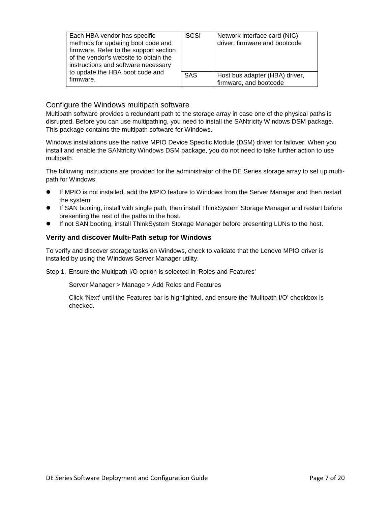| Each HBA vendor has specific<br>methods for updating boot code and<br>firmware. Refer to the support section<br>of the vendor's website to obtain the<br>instructions and software necessary | <b>iSCSI</b> | Network interface card (NIC)<br>driver, firmware and bootcode |
|----------------------------------------------------------------------------------------------------------------------------------------------------------------------------------------------|--------------|---------------------------------------------------------------|
| to update the HBA boot code and<br>firmware.                                                                                                                                                 | <b>SAS</b>   | Host bus adapter (HBA) driver,<br>firmware, and bootcode      |

## <span id="page-6-0"></span>Configure the Windows multipath software

Multipath software provides a redundant path to the storage array in case one of the physical paths is disrupted. Before you can use multipathing, you need to install the SANtricity Windows DSM package. This package contains the multipath software for Windows.

Windows installations use the native MPIO Device Specific Module (DSM) driver for failover. When you install and enable the SANtricity Windows DSM package, you do not need to take further action to use multipath.

The following instructions are provided for the administrator of the DE Series storage array to set up multipath for Windows.

- If MPIO is not installed, add the MPIO feature to Windows from the Server Manager and then restart the system.
- If SAN booting, install with single path, then install ThinkSystem Storage Manager and restart before presenting the rest of the paths to the host.
- If not SAN booting, install ThinkSystem Storage Manager before presenting LUNs to the host.

## **Verify and discover Multi-Path setup for Windows**

To verify and discover storage tasks on Windows, check to validate that the Lenovo MPIO driver is installed by using the Windows Server Manager utility.

Step 1. Ensure the Multipath I/O option is selected in 'Roles and Features'

Server Manager > Manage > Add Roles and Features

Click 'Next' until the Features bar is highlighted, and ensure the 'Mulitpath I/O' checkbox is checked.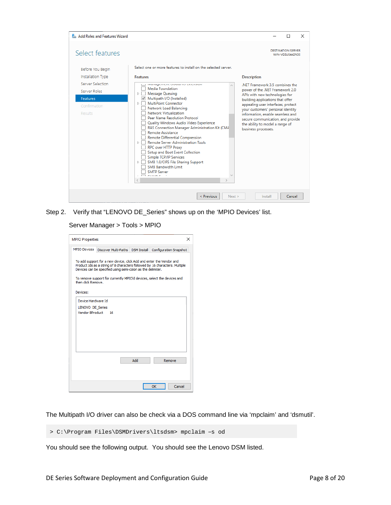| <b>Rest Add Roles and Features Wizard</b><br>$\times$ |                                                                                                                                                                                                                                                                                                                                                                                                                                                                                 |                                                                                                                                 |  |                                       |  |  |
|-------------------------------------------------------|---------------------------------------------------------------------------------------------------------------------------------------------------------------------------------------------------------------------------------------------------------------------------------------------------------------------------------------------------------------------------------------------------------------------------------------------------------------------------------|---------------------------------------------------------------------------------------------------------------------------------|--|---------------------------------------|--|--|
| Select features                                       |                                                                                                                                                                                                                                                                                                                                                                                                                                                                                 |                                                                                                                                 |  | DESTINATION SERVER<br>WIN-VG5U5442N35 |  |  |
| Before You Begin                                      | Select one or more features to install on the selected server.                                                                                                                                                                                                                                                                                                                                                                                                                  |                                                                                                                                 |  |                                       |  |  |
| Installation Type                                     | <b>Features</b>                                                                                                                                                                                                                                                                                                                                                                                                                                                                 | <b>Description</b>                                                                                                              |  |                                       |  |  |
| Server Selection                                      | management opata no extension                                                                                                                                                                                                                                                                                                                                                                                                                                                   | .NET Framework 3.5 combines the                                                                                                 |  |                                       |  |  |
| Server Roles                                          | Media Foundation<br><b>Message Queuing</b><br>D.                                                                                                                                                                                                                                                                                                                                                                                                                                | power of the .NET Framework 2.0                                                                                                 |  |                                       |  |  |
| <b>Features</b>                                       | Multipath I/O (Installed)                                                                                                                                                                                                                                                                                                                                                                                                                                                       | APIs with new technologies for<br>building applications that offer                                                              |  |                                       |  |  |
| Confirmation                                          | <b>MultiPoint Connector</b><br>D.                                                                                                                                                                                                                                                                                                                                                                                                                                               | appealing user interfaces, protect                                                                                              |  |                                       |  |  |
| Results                                               | Network Load Balancing<br>Network Virtualization                                                                                                                                                                                                                                                                                                                                                                                                                                | your customers' personal identity                                                                                               |  |                                       |  |  |
|                                                       | Peer Name Resolution Protocol<br>Quality Windows Audio Video Experience<br>RAS Connection Manager Administration Kit (CMA<br><b>Remote Assistance</b><br>Remote Differential Compression<br><b>Remote Server Administration Tools</b><br>$\triangleright$ 1<br><b>RPC over HTTP Proxy</b><br>Setup and Boot Event Collection<br>Simple TCP/IP Services<br>SMB 1.0/CIFS File Sharing Support<br>$\triangleright$<br>SMB Bandwidth Limit<br><b>SMTP Server</b><br>$T$ can applied | information, enable seamless and<br>secure communication, and provide<br>the ability to model a range of<br>business processes. |  |                                       |  |  |
|                                                       | < Previous<br>Next                                                                                                                                                                                                                                                                                                                                                                                                                                                              | Install                                                                                                                         |  | Cancel                                |  |  |

Step 2. Verify that "LENOVO DE\_Series" shows up on the 'MPIO Devices' list.

Server Manager > Tools > MPIO

| <b>MPIO Properties</b><br>×                                                                                                                                                                                                                                                                                       |                                                   |  |                        |  |  |  |  |
|-------------------------------------------------------------------------------------------------------------------------------------------------------------------------------------------------------------------------------------------------------------------------------------------------------------------|---------------------------------------------------|--|------------------------|--|--|--|--|
|                                                                                                                                                                                                                                                                                                                   | MPIO Devices   Discover Multi-Paths   DSM Install |  | Configuration Snapshot |  |  |  |  |
| To add support for a new device, click Add and enter the Vendor and<br>Product Ids as a string of 8 characters followed by 16 characters. Multiple<br>Devices can be specified using semi-colon as the delimiter.<br>To remove support for currently MPIO'd devices, select the devices and<br>then click Remove. |                                                   |  |                        |  |  |  |  |
| Devices:                                                                                                                                                                                                                                                                                                          |                                                   |  |                        |  |  |  |  |
| Device Hardware Id                                                                                                                                                                                                                                                                                                |                                                   |  |                        |  |  |  |  |
| LENOVO DE Series<br>Vendor 8Product<br>16                                                                                                                                                                                                                                                                         |                                                   |  |                        |  |  |  |  |
|                                                                                                                                                                                                                                                                                                                   |                                                   |  |                        |  |  |  |  |
|                                                                                                                                                                                                                                                                                                                   |                                                   |  |                        |  |  |  |  |
|                                                                                                                                                                                                                                                                                                                   |                                                   |  |                        |  |  |  |  |
| Add<br>Remove                                                                                                                                                                                                                                                                                                     |                                                   |  |                        |  |  |  |  |
|                                                                                                                                                                                                                                                                                                                   |                                                   |  |                        |  |  |  |  |
| OK<br>Cancel                                                                                                                                                                                                                                                                                                      |                                                   |  |                        |  |  |  |  |

The Multipath I/O driver can also be check via a DOS command line via 'mpclaim' and 'dsmutil'.

> C:\Program Files\DSMDrivers\ltsdsm> mpclaim –s od

You should see the following output. You should see the Lenovo DSM listed.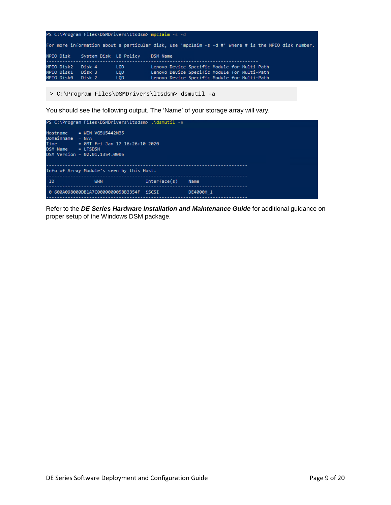|                                        |                            |                                        | PS C:\Program Files\DSMDrivers\ltsdsm> mpclaim s -d                                                                                          |
|----------------------------------------|----------------------------|----------------------------------------|----------------------------------------------------------------------------------------------------------------------------------------------|
|                                        |                            |                                        | For more information about a particular disk, use 'mpclaim -s -d #' where # is the MPIO disk number.                                         |
| MPIO Disk                              | System Disk LB Policy      |                                        | <b>DSM Name</b>                                                                                                                              |
| MPIO Disk2<br>MPIO Disk1<br>MPIO Disk0 | Disk 4<br>Disk 3<br>Disk 2 | <b>LOD</b><br><b>LOD</b><br><b>LOD</b> | Lenovo Device Specific Module for Multi-Path<br>Lenovo Device Specific Module for Multi-Path<br>Lenovo Device Specific Module for Multi-Path |

> C:\Program Files\DSMDrivers\ltsdsm> dsmutil -a

You should see the following output. The 'Name' of your storage array will vary.



Refer to the *DE Series Hardware Installation and Maintenance Guide* for additional guidance on proper setup of the Windows DSM package.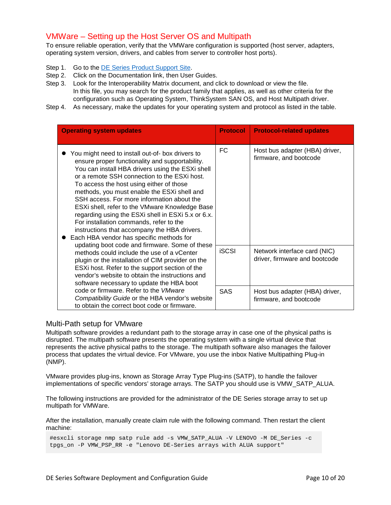## <span id="page-9-0"></span>VMWare – Setting up the Host Server OS and Multipath

To ensure reliable operation, verify that the VMWare configuration is supported (host server, adapters, operating system version, drivers, and cables from server to controller host ports).

- Step 1. Go to the [DE Series Product Support Site.](https://datacentersupport.lenovo.com/products/storage/DEseries)
- Step 2. Click on the Documentation link, then User Guides.
- Step 3. Look for the Interoperability Matrix document, and click to download or view the file. In this file, you may search for the product family that applies, as well as other criteria for the configuration such as Operating System, ThinkSystem SAN OS, and Host Multipath driver.
- Step 4. As necessary, make the updates for your operating system and protocol as listed in the table.

| <b>Operating system updates</b>                                                                                                                                                                                                                                                                                                                                                                                                                                                                                                                                                                                                                                                                                                                                                                                                                                                                        | <b>Protocol</b> | <b>Protocol-related updates</b>                               |
|--------------------------------------------------------------------------------------------------------------------------------------------------------------------------------------------------------------------------------------------------------------------------------------------------------------------------------------------------------------------------------------------------------------------------------------------------------------------------------------------------------------------------------------------------------------------------------------------------------------------------------------------------------------------------------------------------------------------------------------------------------------------------------------------------------------------------------------------------------------------------------------------------------|-----------------|---------------------------------------------------------------|
| You might need to install out-of- box drivers to<br>ensure proper functionality and supportability.<br>You can install HBA drivers using the ESXi shell<br>or a remote SSH connection to the ESXi host.<br>To access the host using either of those<br>methods, you must enable the ESXi shell and<br>SSH access. For more information about the<br>ESXi shell, refer to the VMware Knowledge Base<br>regarding using the ESXi shell in ESXi 5.x or 6.x.<br>For installation commands, refer to the<br>instructions that accompany the HBA drivers.<br>Each HBA vendor has specific methods for<br>updating boot code and firmware. Some of these<br>methods could include the use of a vCenter<br>plugin or the installation of CIM provider on the<br>ESXi host. Refer to the support section of the<br>vendor's website to obtain the instructions and<br>software necessary to update the HBA boot | FC              | Host bus adapter (HBA) driver,<br>firmware, and bootcode      |
|                                                                                                                                                                                                                                                                                                                                                                                                                                                                                                                                                                                                                                                                                                                                                                                                                                                                                                        | <b>iSCSI</b>    | Network interface card (NIC)<br>driver, firmware and bootcode |
| code or firmware. Refer to the VMware<br>Compatibility Guide or the HBA vendor's website<br>to obtain the correct boot code or firmware.                                                                                                                                                                                                                                                                                                                                                                                                                                                                                                                                                                                                                                                                                                                                                               | <b>SAS</b>      | Host bus adapter (HBA) driver,<br>firmware, and bootcode      |

## <span id="page-9-1"></span>Multi-Path setup for VMware

Multipath software provides a redundant path to the storage array in case one of the physical paths is disrupted. The multipath software presents the operating system with a single virtual device that represents the active physical paths to the storage. The multipath software also manages the failover process that updates the virtual device. For VMware, you use the inbox Native Multipathing Plug-in (NMP).

VMware provides plug-ins, known as Storage Array Type Plug-ins (SATP), to handle the failover implementations of specific vendors' storage arrays. The SATP you should use is VMW\_SATP\_ALUA.

The following instructions are provided for the administrator of the DE Series storage array to set up multipath for VMWare.

After the installation, manually create claim rule with the following command. Then restart the client machine:

#esxcli storage nmp satp rule add -s VMW\_SATP\_ALUA -V LENOVO -M DE\_Series -c tpgs\_on -P VMW\_PSP\_RR\_-e "Lenovo DE-Series arrays with ALUA support"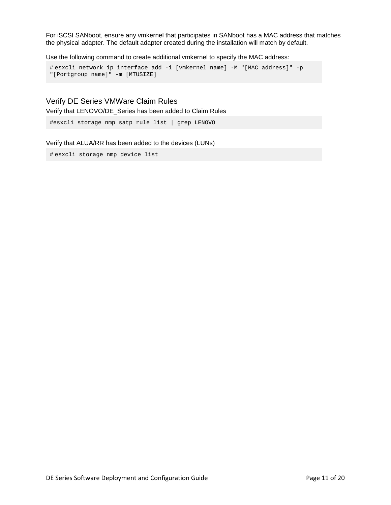For iSCSI SANboot, ensure any vmkernel that participates in SANboot has a MAC address that matches the physical adapter. The default adapter created during the installation will match by default.

Use the following command to create additional vmkernel to specify the MAC address:

```
# esxcli network ip interface add -i [vmkernel name] -M "[MAC address]" -p 
"[Portgroup name]" -m [MTUSIZE]
```
## <span id="page-10-0"></span>Verify DE Series VMWare Claim Rules

Verify that LENOVO/DE\_Series has been added to Claim Rules

```
#esxcli storage nmp satp rule list | grep LENOVO
```
#### Verify that ALUA/RR has been added to the devices (LUNs)

# esxcli storage nmp device list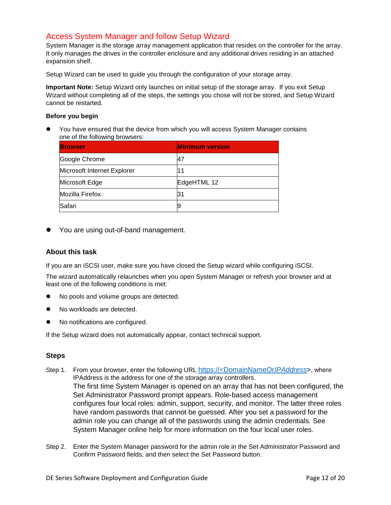## <span id="page-11-0"></span>Access System Manager and follow Setup Wizard

System Manager is the storage array management application that resides on the controller for the array. It only manages the drives in the controller enclosure and any additional drives residing in an attached expansion shelf.

Setup Wizard can be used to guide you through the configuration of your storage array.

**Important Note:** Setup Wizard only launches on initial setup of the storage array. If you exit Setup Wizard without completing all of the steps, the settings you chose will not be stored, and Setup Wizard cannot be restarted.

#### **Before you begin**

 You have ensured that the device from which you will access System Manager contains one of the following browsers:

| <b>Browser</b>              | <b>Minimum version</b> |
|-----------------------------|------------------------|
| Google Chrome               | 47                     |
| Microsoft Internet Explorer | 11                     |
| Microsoft Edge              | EdgeHTML 12            |
| Mozilla Firefox             | 31                     |
| Safari                      | У                      |

• You are using out-of-band management.

## **About this task**

If you are an iSCSI user, make sure you have closed the Setup wizard while configuring iSCSI.

The wizard automatically relaunches when you open System Manager or refresh your browser and at least one of the following conditions is met:

- No pools and volume groups are detected.
- No workloads are detected.
- No notifications are configured.

If the Setup wizard does not automatically appear, contact technical support.

## **Steps**

- Step 1. From your browser, enter the following URL https://<DomainNameOr*IPAddress*>, where IPAddress is the address for one of the storage array controllers. The first time System Manager is opened on an array that has not been configured, the Set Administrator Password prompt appears. Role-based access management configures four local roles: admin, support, security, and monitor. The latter three roles have random passwords that cannot be guessed. After you set a password for the admin role you can change all of the passwords using the admin credentials. See System Manager online help for more information on the four local user roles.
- Step 2. Enter the System Manager password for the admin role in the Set Administrator Password and Confirm Password fields, and then select the Set Password button.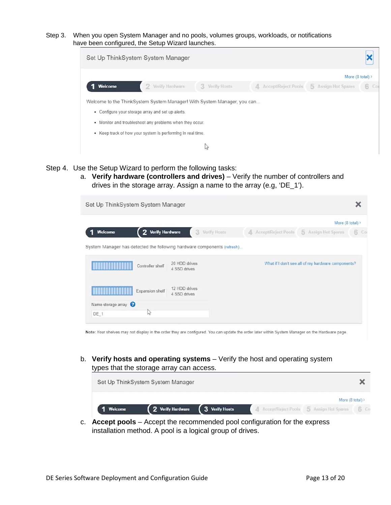Step 3. When you open System Manager and no pools, volumes groups, workloads, or notifications have been configured, the Setup Wizard launches.



- Step 4. Use the Setup Wizard to perform the following tasks:
	- a. **Verify hardware (controllers and drives)** Verify the number of controllers and drives in the storage array. Assign a name to the array (e.g, 'DE\_1').

| Set Up ThinkSystem System Manager                                                           |                               |                       |                                                    |     |
|---------------------------------------------------------------------------------------------|-------------------------------|-----------------------|----------------------------------------------------|-----|
|                                                                                             |                               |                       | More $(8 \text{ total})$                           |     |
| 2 Verify Hardware<br>Welcome                                                                | 3<br>Verify Hosts             | A Accept/Reject Pools | 5 Assign Hot Spares                                | 6 C |
| System Manager has detected the following hardware components (refresh)<br>Controller shelf | 20 HDD drives<br>4 SSD drives |                       | What if I don't see all of my hardware components? |     |
| Expansion shelf                                                                             | 12 HDD drives<br>4 SSD drives |                       |                                                    |     |
| Name storage array                                                                          |                               |                       |                                                    |     |
| $\sim$<br>DE 1                                                                              |                               |                       |                                                    |     |

Note: Your shelves may not display in the order they are configured. You can update the order later within System Manager on the Hardware page.

b. **Verify hosts and operating systems** – Verify the host and operating system types that the storage array can access.

|         | Set Up ThinkSystem System Manager |                |                                                |                  |  |
|---------|-----------------------------------|----------------|------------------------------------------------|------------------|--|
|         |                                   |                |                                                | More (8 total) > |  |
| Welcome | 2 Verify Hardware                 | 3 Verify Hosts | 4 Accept/Reject Pools 5 Assign Hot Spares 6 Co |                  |  |
|         |                                   |                |                                                |                  |  |

c. **Accept pools** – Accept the recommended pool configuration for the express installation method. A pool is a logical group of drives.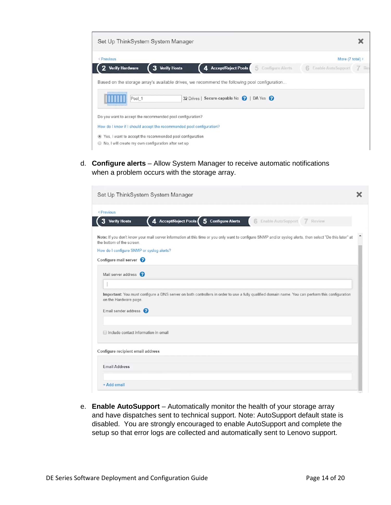

d. **Configure alerts** – Allow System Manager to receive automatic notifications when a problem occurs with the storage array.

| Set Up ThinkSystem System Manager                                                                                                                                                     |  |
|---------------------------------------------------------------------------------------------------------------------------------------------------------------------------------------|--|
| < Previous                                                                                                                                                                            |  |
| 4 Accept/Reject Pools 5 Configure Alerts<br><b>Verify Hosts</b><br>6<br>Enable Auto Support 7 Review                                                                                  |  |
| Note: If you don't know your mail server information at this time or you only want to configure SNMP and/or syslog alerts, then select "Do this later" at<br>the bottom of the screen |  |
| How do I configure SNMP or syslog alerts?                                                                                                                                             |  |
| Configure mail server                                                                                                                                                                 |  |
| Mail server address <sup>?</sup>                                                                                                                                                      |  |
|                                                                                                                                                                                       |  |
|                                                                                                                                                                                       |  |
| Important: You must configure a DNS server on both controllers in order to use a fully qualified domain name. You can perform this configuration<br>on the Hardware page.             |  |
| Email sender address <sup>?</sup>                                                                                                                                                     |  |
| Include contact information in email                                                                                                                                                  |  |
| Configure recipient email address                                                                                                                                                     |  |
| <b>Email Address</b>                                                                                                                                                                  |  |
|                                                                                                                                                                                       |  |
|                                                                                                                                                                                       |  |

e. **Enable AutoSupport** – Automatically monitor the health of your storage array and have dispatches sent to technical support. Note: AutoSupport default state is disabled. You are strongly encouraged to enable AutoSupport and complete the setup so that error logs are collected and automatically sent to Lenovo support.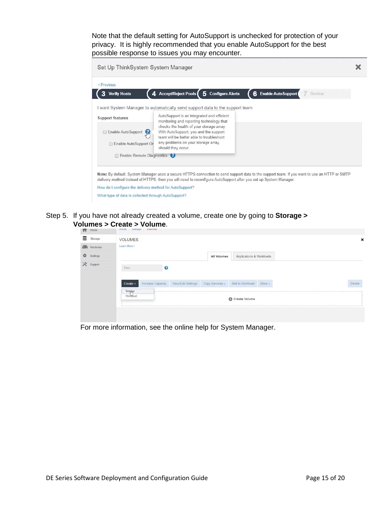Note that the default setting for AutoSupport is unchecked for protection of your privacy. It is highly recommended that you enable AutoSupport for the best possible response to issues you may encounter.

| Set Up ThinkSystem System Manager                       |                                                                                                                                                                                                                                                                  |        |
|---------------------------------------------------------|------------------------------------------------------------------------------------------------------------------------------------------------------------------------------------------------------------------------------------------------------------------|--------|
| < Previous                                              |                                                                                                                                                                                                                                                                  |        |
| <b>Verify Hosts</b><br>3                                | 4. Accept/Reject Pools<br>5 Configure Alerts<br>6 Enable Auto Support                                                                                                                                                                                            | Review |
|                                                         | I want System Manager to automatically send support data to the support team                                                                                                                                                                                     |        |
| <b>Support features</b>                                 | AutoSupport is an integrated and efficient<br>monitoring and reporting technology that                                                                                                                                                                           |        |
| Enable AutoSupport<br>Enable AutoSupport On             | checks the health of your storage array.<br>With AutoSupport, you and the support<br>team will be better able to troubleshoot<br>any problems on your storage array.<br>should they occur.                                                                       |        |
| Enable Remote Diagnostics                               |                                                                                                                                                                                                                                                                  |        |
|                                                         | Note: By default, System Manager uses a secure HTTPS connection to send support data to the support team. If you want to use an HTTP or SMTP<br>delivery method instead of HTTPS, then you will need to reconfigure AutoSupport after you set up System Manager. |        |
| How do I configure the delivery method for AutoSupport? |                                                                                                                                                                                                                                                                  |        |
| What type of data is collected through AutoSupport?     |                                                                                                                                                                                                                                                                  |        |

Step 5. If you have not already created a volume, create one by going to **Storage > Volumes > Create > Volume**.

| п<br>Home           | TOUTLE AIRPRACT ANIMIRES                 |                       |                 |                          |        |  |        |
|---------------------|------------------------------------------|-----------------------|-----------------|--------------------------|--------|--|--------|
| ≊<br>Storage        | <b>VOLUMES</b>                           |                       |                 |                          |        |  | ×      |
| 画<br>Hardware       | Learn More >                             |                       |                 |                          |        |  |        |
| 券<br>Settings       |                                          |                       | All Volumes     | Applications & Workloads |        |  |        |
| $\times$<br>Support | Filter                                   | $\boldsymbol{\Omega}$ |                 |                          |        |  |        |
|                     | Increase Capacity<br>Create -<br>Volquie | View/Edit Settings    | Copy Services + | Add to Workload          | More - |  | Delete |
|                     | Workload                                 |                       |                 | C Create Volume          |        |  |        |
|                     |                                          |                       |                 |                          |        |  |        |

For more information, see the online help for System Manager.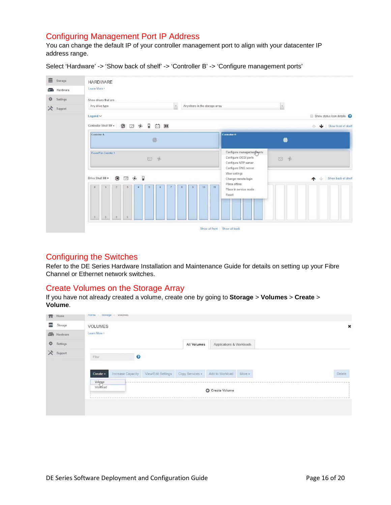## <span id="page-15-0"></span>Configuring Management Port IP Address

You can change the default IP of your controller management port to align with your datacenter IP address range.

Select 'Hardware' -> 'Show back of shelf' -> 'Controller B' -> 'Configure management ports'



## <span id="page-15-1"></span>Configuring the Switches

Refer to the DE Series Hardware Installation and Maintenance Guide for details on setting up your Fibre Channel or Ethernet network switches.

## <span id="page-15-2"></span>Create Volumes on the Storage Array

If you have not already created a volume, create one by going to **Storage** > **Volumes** > **Create** > **Volume**.

| п      | Home     | <b>FIGHTHI</b>     | Otorage volumes   |                                    |             |                          |        |  |        |
|--------|----------|--------------------|-------------------|------------------------------------|-------------|--------------------------|--------|--|--------|
| ≊      | Storage  | <b>VOLUMES</b>     |                   |                                    |             |                          |        |  |        |
| 画      | Hardware | Learn More >       |                   |                                    |             |                          |        |  |        |
| 脊      | Settings |                    |                   |                                    | All Volumes | Applications & Workloads |        |  |        |
| $\chi$ | Support  | Filter             | $\boldsymbol{0}$  |                                    |             |                          |        |  |        |
|        |          |                    |                   |                                    |             |                          |        |  |        |
|        |          | Create -           | Increase Capacity | View/Edit Settings Copy Services + |             | Add to Workload          | More - |  | Delete |
|        |          | Volque<br>Workload |                   |                                    |             | Create Volume            |        |  |        |
|        |          |                    |                   |                                    |             |                          |        |  |        |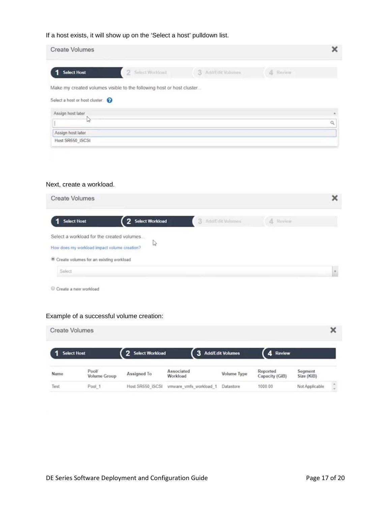## If a host exists, it will show up on the 'Select a host' pulldown list.

| <b>Create Volumes</b>                               |                                                                       |                    |          | × |
|-----------------------------------------------------|-----------------------------------------------------------------------|--------------------|----------|---|
| <b>Select Host</b>                                  | 2 Select Worldord                                                     | 3 AddiEdit Volumes | 4 Review |   |
|                                                     | Make my created volumes visible to the following host or host cluster |                    |          |   |
| Select a host or host cluster:<br>Assign host later |                                                                       |                    |          | × |
| 15                                                  |                                                                       |                    |          | Q |
| Assign host later                                   |                                                                       |                    |          |   |
| Host SR650 ISCSI                                    |                                                                       |                    |          |   |

#### Next, create a workload.

| <b>Create Volumes</b>                                                                     |                   |                    |          | × |
|-------------------------------------------------------------------------------------------|-------------------|--------------------|----------|---|
| <b>Select Host</b>                                                                        | 2 Select Workload | 3 AddiEdit Volumes | & Review |   |
| Select a workload for the created volumes<br>How does my workload impact volume creation? | B                 |                    |          |   |
| Create volumes for an existing workload                                                   |                   |                    |          |   |
| Select                                                                                    |                   |                    |          |   |
| Create a new workload                                                                     |                   |                    |          |   |

# Example of a successful volume creation:

| <b>Create Volumes</b> |                      |                   |                        |                    |                            |                       |                  |
|-----------------------|----------------------|-------------------|------------------------|--------------------|----------------------------|-----------------------|------------------|
| <b>Select Host</b>    |                      | 2 Select Workload | 3 Add/Edit Volumes     |                    | 4 Review                   |                       |                  |
| Name                  | Pool<br>Volume Group | Assigned To       | Associated<br>Workload | <b>Volume Type</b> | Reported<br>Capacity (GiB) | Segment<br>Size (KiB) |                  |
| Test                  | Pool 1               | Host SR650 ISCSI  | vmware vmfs workload 1 | Datastore          | 1000.00                    | Not Applicable        | $\sim$<br>$\sim$ |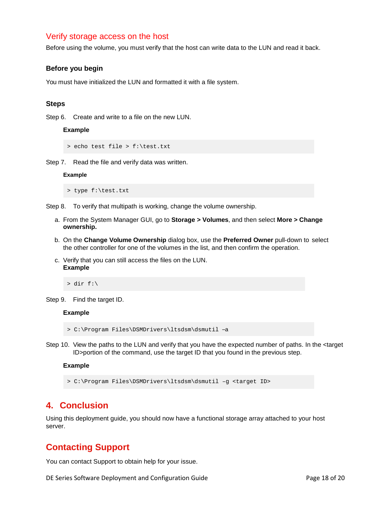## <span id="page-17-0"></span>Verify storage access on the host

Before using the volume, you must verify that the host can write data to the LUN and read it back.

#### **Before you begin**

You must have initialized the LUN and formatted it with a file system.

#### **Steps**

Step 6. Create and write to a file on the new LUN.

## **Example**

```
> echo test file > f:\test.txt
```
Step 7. Read the file and verify data was written.

#### **Example**

> type f:\test.txt

Step 8. To verify that multipath is working, change the volume ownership.

- a. From the System Manager GUI, go to **Storage > Volumes**, and then select **More > Change ownership.**
- b. On the **Change Volume Ownership** dialog box, use the **Preferred Owner** pull-down to select the other controller for one of the volumes in the list, and then confirm the operation.
- c. Verify that you can still access the files on the LUN. **Example**

#### $>$  dir f:\

Step 9. Find the target ID.

#### **Example**

> C:\Program Files\DSMDrivers\ltsdsm\dsmutil –a

Step 10. View the paths to the LUN and verify that you have the expected number of paths. In the <target ID>portion of the command, use the target ID that you found in the previous step.

#### **Example**

> C:\Program Files\DSMDrivers\ltsdsm\dsmutil –g <target ID>

## <span id="page-17-1"></span>**4. Conclusion**

Using this deployment guide, you should now have a functional storage array attached to your host server.

# <span id="page-17-2"></span>**Contacting Support**

You can contact Support to obtain help for your issue.

DE Series Software Deployment and Configuration Guide **Page 18 of 20** Page 18 of 20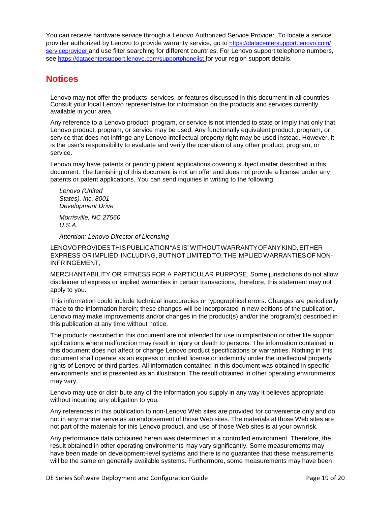You can receive hardware service through a Lenovo Authorized Service Provider. To locate a service provider authorized by Lenovo to provide warranty service, go to [https://datacentersupport.lenovo.com/](https://datacentersupport.lenovo.com/serviceprovider) [serviceprovider a](https://datacentersupport.lenovo.com/serviceprovider)nd use filter searching for different countries. For Lenovo support telephone numbers, see [https://datacentersupport.lenovo.com/supportphonelist f](https://datacentersupport.lenovo.com/supportphonelist)or your region support details.

# <span id="page-18-0"></span>**Notices**

Lenovo may not offer the products, services, or features discussed in this document in all countries. Consult your local Lenovo representative for information on the products and services currently available in your area.

Any reference to a Lenovo product, program, or service is not intended to state or imply that only that Lenovo product, program, or service may be used. Any functionally equivalent product, program, or service that does not infringe any Lenovo intellectual property right may be used instead. However, it is the user's responsibility to evaluate and verify the operation of any other product, program, or service.

Lenovo may have patents or pending patent applications covering subject matter described in this document. The furnishing of this document is not an offer and does not provide a license under any patents or patent applications. You can send inquiries in writing to the following:

*Lenovo (United States), Inc. 8001 Development Drive*

*Morrisville, NC 27560 U.S.A.*

*Attention: Lenovo Director of Licensing*

LENOVOPROVIDESTHISPUBLICATION"ASIS"WITHOUTWARRANTYOFANYKIND,EITHER EXPRESS ORIMPLIED,INCLUDING,BUTNOTLIMITEDTO,THEIMPLIEDWARRANTIESOFNON-INFRINGEMENT,

MERCHANTABILITY OR FITNESS FOR A PARTICULAR PURPOSE. Some jurisdictions do not allow disclaimer of express or implied warranties in certain transactions, therefore, this statement may not apply to you.

This information could include technical inaccuracies or typographical errors. Changes are periodically made to the information herein; these changes will be incorporated in new editions of the publication. Lenovo may make improvements and/or changes in the product(s) and/or the program(s) described in this publication at any time without notice.

The products described in this document are not intended for use in implantation or other life support applications where malfunction may result in injury or death to persons. The information contained in this document does not affect or change Lenovo product specifications or warranties. Nothing in this document shall operate as an express or implied license or indemnity under the intellectual property rights of Lenovo or third parties. All information contained in this document was obtained in specific environments and is presented as an illustration. The result obtained in other operating environments may vary.

Lenovo may use or distribute any of the information you supply in any way it believes appropriate without incurring any obligation to you.

Any references in this publication to non-Lenovo Web sites are provided for convenience only and do not in any manner serve as an endorsement of those Web sites. The materials at those Web sites are not part of the materials for this Lenovo product, and use of those Web sites is at your own risk.

Any performance data contained herein was determined in a controlled environment. Therefore, the result obtained in other operating environments may vary significantly. Some measurements may have been made on development-level systems and there is no guarantee that these measurements will be the same on generally available systems. Furthermore, some measurements may have been